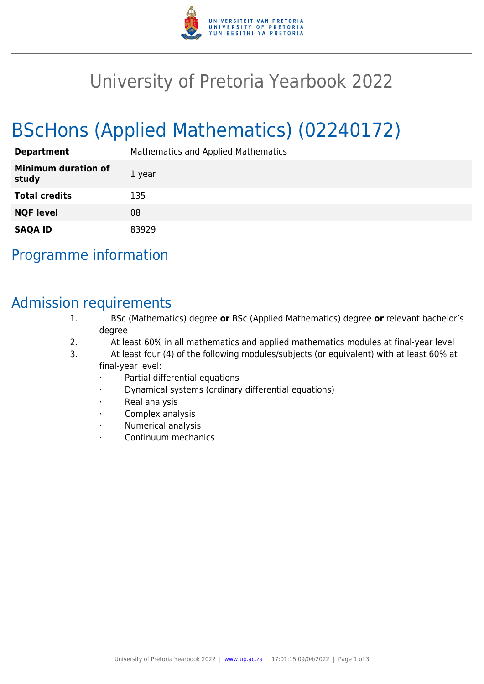

# University of Pretoria Yearbook 2022

# BScHons (Applied Mathematics) (02240172)

| <b>Department</b>                   | Mathematics and Applied Mathematics |
|-------------------------------------|-------------------------------------|
| <b>Minimum duration of</b><br>study | 1 year                              |
| <b>Total credits</b>                | 135                                 |
| <b>NQF level</b>                    | 08                                  |
| <b>SAQA ID</b>                      | 83929                               |

## Programme information

## Admission requirements

- 1. BSc (Mathematics) degree **or** BSc (Applied Mathematics) degree **or** relevant bachelor's degree
- 2. At least 60% in all mathematics and applied mathematics modules at final-year level
- 3. At least four (4) of the following modules/subjects (or equivalent) with at least 60% at final-year level:
	- Partial differential equations
	- · Dynamical systems (ordinary differential equations)
	- Real analysis
	- Complex analysis
	- · Numerical analysis
	- · Continuum mechanics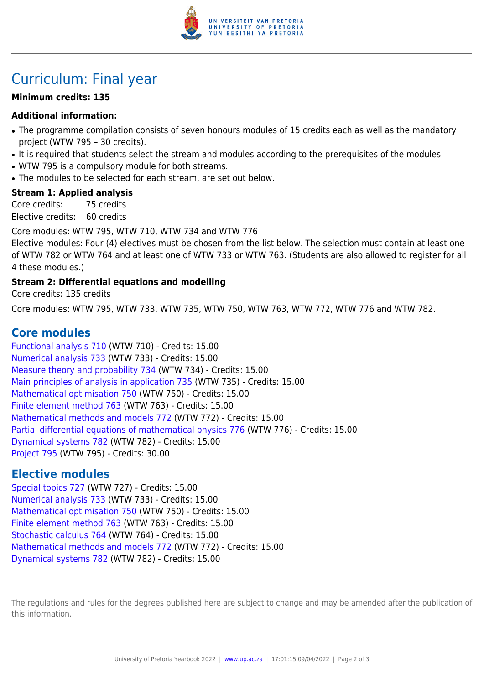

## Curriculum: Final year

#### **Minimum credits: 135**

#### **Additional information:**

- The programme compilation consists of seven honours modules of 15 credits each as well as the mandatory project (WTW 795 – 30 credits).
- It is required that students select the stream and modules according to the prerequisites of the modules.
- WTW 795 is a compulsory module for both streams.
- The modules to be selected for each stream, are set out below.

#### **Stream 1: Applied analysis**

Core credits: 75 credits Elective credits: 60 credits

Core modules: WTW 795, WTW 710, WTW 734 and WTW 776

Elective modules: Four (4) electives must be chosen from the list below. The selection must contain at least one of WTW 782 or WTW 764 and at least one of WTW 733 or WTW 763. (Students are also allowed to register for all 4 these modules.)

#### **Stream 2: Differential equations and modelling**

Core credits: 135 credits

Core modules: WTW 795, WTW 733, WTW 735, WTW 750, WTW 763, WTW 772, WTW 776 and WTW 782.

### **Core modules**

[Functional analysis 710](https://www.up.ac.za/parents/yearbooks/2022/modules/view/WTW 710) (WTW 710) - Credits: 15.00 [Numerical analysis 733](https://www.up.ac.za/parents/yearbooks/2022/modules/view/WTW 733) (WTW 733) - Credits: 15.00 [Measure theory and probability 734](https://www.up.ac.za/parents/yearbooks/2022/modules/view/WTW 734) (WTW 734) - Credits: 15.00 [Main principles of analysis in application 735](https://www.up.ac.za/parents/yearbooks/2022/modules/view/WTW 735) (WTW 735) - Credits: 15.00 [Mathematical optimisation 750](https://www.up.ac.za/parents/yearbooks/2022/modules/view/WTW 750) (WTW 750) - Credits: 15.00 [Finite element method 763](https://www.up.ac.za/parents/yearbooks/2022/modules/view/WTW 763) (WTW 763) - Credits: 15.00 [Mathematical methods and models 772](https://www.up.ac.za/parents/yearbooks/2022/modules/view/WTW 772) (WTW 772) - Credits: 15.00 [Partial differential equations of mathematical physics 776](https://www.up.ac.za/parents/yearbooks/2022/modules/view/WTW 776) (WTW 776) - Credits: 15.00 [Dynamical systems 782](https://www.up.ac.za/parents/yearbooks/2022/modules/view/WTW 782) (WTW 782) - Credits: 15.00 [Project 795](https://www.up.ac.za/parents/yearbooks/2022/modules/view/WTW 795) (WTW 795) - Credits: 30.00

### **Elective modules**

[Special topics 727](https://www.up.ac.za/parents/yearbooks/2022/modules/view/WTW 727) (WTW 727) - Credits: 15.00 [Numerical analysis 733](https://www.up.ac.za/parents/yearbooks/2022/modules/view/WTW 733) (WTW 733) - Credits: 15.00 [Mathematical optimisation 750](https://www.up.ac.za/parents/yearbooks/2022/modules/view/WTW 750) (WTW 750) - Credits: 15.00 [Finite element method 763](https://www.up.ac.za/parents/yearbooks/2022/modules/view/WTW 763) (WTW 763) - Credits: 15.00 [Stochastic calculus 764](https://www.up.ac.za/parents/yearbooks/2022/modules/view/WTW 764) (WTW 764) - Credits: 15.00 [Mathematical methods and models 772](https://www.up.ac.za/parents/yearbooks/2022/modules/view/WTW 772) (WTW 772) - Credits: 15.00 [Dynamical systems 782](https://www.up.ac.za/parents/yearbooks/2022/modules/view/WTW 782) (WTW 782) - Credits: 15.00

The regulations and rules for the degrees published here are subject to change and may be amended after the publication of this information.